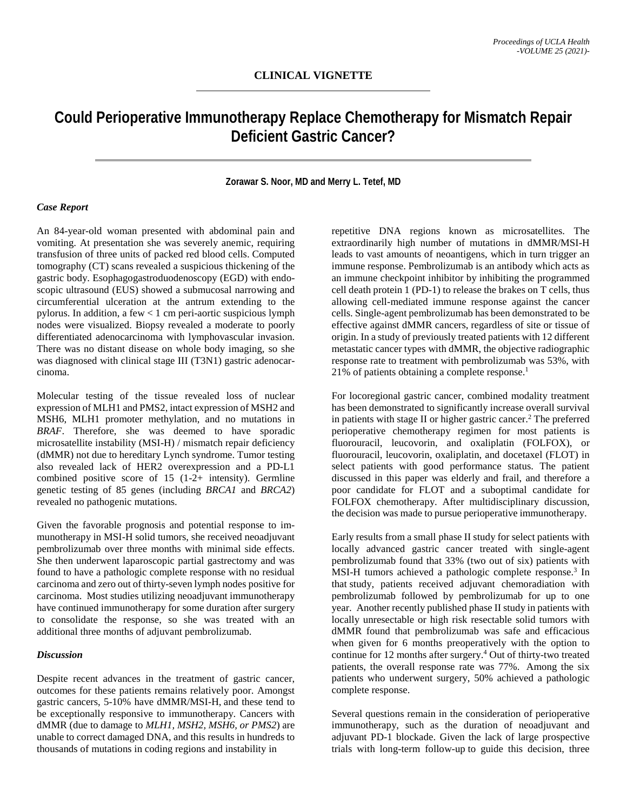# **Could Perioperative Immunotherapy Replace Chemotherapy for Mismatch Repair Deficient Gastric Cancer?**

#### **Zorawar S. Noor, MD and Merry L. Tetef, MD**

### *Case Report*

An 84-year-old woman presented with abdominal pain and vomiting. At presentation she was severely anemic, requiring transfusion of three units of packed red blood cells. Computed tomography (CT) scans revealed a suspicious thickening of the gastric body. Esophagogastroduodenoscopy (EGD) with endoscopic ultrasound (EUS) showed a submucosal narrowing and circumferential ulceration at the antrum extending to the pylorus. In addition, a few < 1 cm peri-aortic suspicious lymph nodes were visualized. Biopsy revealed a moderate to poorly differentiated adenocarcinoma with lymphovascular invasion. There was no distant disease on whole body imaging, so she was diagnosed with clinical stage III (T3N1) gastric adenocarcinoma.

Molecular testing of the tissue revealed loss of nuclear expression of MLH1 and PMS2, intact expression of MSH2 and MSH6, MLH1 promoter methylation, and no mutations in *BRAF*. Therefore, she was deemed to have sporadic microsatellite instability (MSI-H) / mismatch repair deficiency (dMMR) not due to hereditary Lynch syndrome. Tumor testing also revealed lack of HER2 overexpression and a PD-L1 combined positive score of 15 (1-2+ intensity). Germline genetic testing of 85 genes (including *BRCA1* and *BRCA2*) revealed no pathogenic mutations.

Given the favorable prognosis and potential response to immunotherapy in MSI-H solid tumors, she received neoadjuvant pembrolizumab over three months with minimal side effects. She then underwent laparoscopic partial gastrectomy and was found to have a pathologic complete response with no residual carcinoma and zero out of thirty-seven lymph nodes positive for carcinoma. Most studies utilizing neoadjuvant immunotherapy have continued immunotherapy for some duration after surgery to consolidate the response, so she was treated with an additional three months of adjuvant pembrolizumab.

## *Discussion*

Despite recent advances in the treatment of gastric cancer, outcomes for these patients remains relatively poor. Amongst gastric cancers, 5-10% have dMMR/MSI-H, and these tend to be exceptionally responsive to immunotherapy. Cancers with dMMR (due to damage to *MLH1, MSH2, MSH6, or PMS2*) are unable to correct damaged DNA, and this results in hundreds to thousands of mutations in coding regions and instability in

repetitive DNA regions known as microsatellites. The extraordinarily high number of mutations in dMMR/MSI-H leads to vast amounts of neoantigens, which in turn trigger an immune response. Pembrolizumab is an antibody which acts as an immune checkpoint inhibitor by inhibiting the programmed cell death protein 1 (PD-1) to release the brakes on T cells, thus allowing cell-mediated immune response against the cancer cells. Single-agent pembrolizumab has been demonstrated to be effective against dMMR cancers, regardless of site or tissue of origin. In a study of previously treated patients with 12 different metastatic cancer types with dMMR, the objective radiographic response rate to treatment with pembrolizumab was 53%, with 21% of patients obtaining a complete response. 1

For locoregional gastric cancer, combined modality treatment has been demonstrated to significantly increase overall survival in patients with stage II or higher gastric cancer. <sup>2</sup> The preferred perioperative chemotherapy regimen for most patients is fluorouracil, leucovorin, and oxaliplatin (FOLFOX), or fluorouracil, leucovorin, oxaliplatin, and docetaxel (FLOT) in select patients with good performance status. The patient discussed in this paper was elderly and frail, and therefore a poor candidate for FLOT and a suboptimal candidate for FOLFOX chemotherapy. After multidisciplinary discussion, the decision was made to pursue perioperative immunotherapy.

Early results from a small phase II study for select patients with locally advanced gastric cancer treated with single-agent pembrolizumab found that 33% (two out of six) patients with MSI-H tumors achieved a pathologic complete response. <sup>3</sup> In that study, patients received adjuvant chemoradiation with pembrolizumab followed by pembrolizumab for up to one year. Another recently published phase II study in patients with locally unresectable or high risk resectable solid tumors with dMMR found that pembrolizumab was safe and efficacious when given for 6 months preoperatively with the option to continue for 12 months after surgery. <sup>4</sup> Out of thirty-two treated patients, the overall response rate was 77%. Among the six patients who underwent surgery, 50% achieved a pathologic complete response.

Several questions remain in the consideration of perioperative immunotherapy, such as the duration of neoadjuvant and adjuvant PD-1 blockade. Given the lack of large prospective trials with long-term follow-up to guide this decision, three